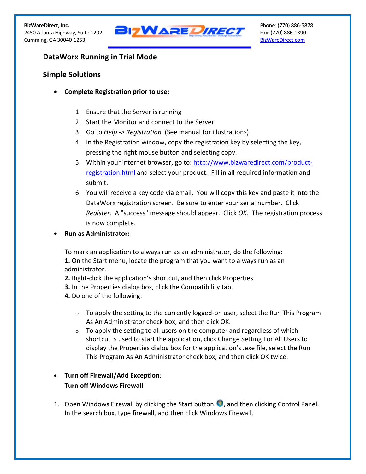

# **DataWorx Running in Trial Mode**

## **Simple Solutions**

- **Complete Registration prior to use:**
	- 1. Ensure that the Server is running
	- 2. Start the Monitor and connect to the Server
	- 3. Go to *Help -> Registration* (See manual for illustrations)
	- 4. In the Registration window, copy the registration key by selecting the key, pressing the right mouse button and selecting copy.
	- 5. Within your internet browser, go to: [http://www.bizwaredirect.com/product](http://www.bizwaredirect.com/product-registration.html)[registration.html](http://www.bizwaredirect.com/product-registration.html) and select your product. Fill in all required information and submit.
	- 6. You will receive a key code via email. You will copy this key and paste it into the DataWorx registration screen. Be sure to enter your serial number. Click *Register*. A "success" message should appear. Click *OK.* The registration process is now complete.
- **Run as Administrator:**

To mark an application to always run as an administrator, do the following: **1.** On the Start menu, locate the program that you want to always run as an administrator.

- **2.** Right-click the application's shortcut, and then click Properties.
- **3.** In the Properties dialog box, click the Compatibility tab.
- **4.** Do one of the following:
	- $\circ$  To apply the setting to the currently logged-on user, select the Run This Program As An Administrator check box, and then click OK.
	- $\circ$  To apply the setting to all users on the computer and regardless of which shortcut is used to start the application, click Change Setting For All Users to display the Properties dialog box for the application's .exe file, select the Run This Program As An Administrator check box, and then click OK twice.

# **Turn off Firewall/Add Exception**: **Turn off Windows Firewall**

1. Open Windows Firewall by clicking the Start button **C**, and then clicking Control Panel. In the search box, type firewall, and then click Windows Firewall.